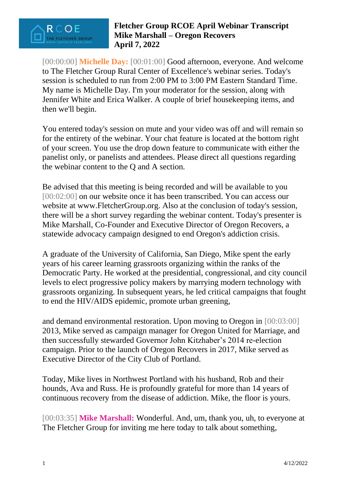

[00:00:00] **Michelle Day:** [00:01:00] Good afternoon, everyone. And welcome to The Fletcher Group Rural Center of Excellence's webinar series. Today's session is scheduled to run from 2:00 PM to 3:00 PM Eastern Standard Time. My name is Michelle Day. I'm your moderator for the session, along with Jennifer White and Erica Walker. A couple of brief housekeeping items, and then we'll begin.

You entered today's session on mute and your video was off and will remain so for the entirety of the webinar. Your chat feature is located at the bottom right of your screen. You use the drop down feature to communicate with either the panelist only, or panelists and attendees. Please direct all questions regarding the webinar content to the Q and A section.

Be advised that this meeting is being recorded and will be available to you [00:02:00] on our website once it has been transcribed. You can access our website at www.FletcherGroup.org. Also at the conclusion of today's session, there will be a short survey regarding the webinar content. Today's presenter is Mike Marshall, Co-Founder and Executive Director of Oregon Recovers, a statewide advocacy campaign designed to end Oregon's addiction crisis.

A graduate of the University of California, San Diego, Mike spent the early years of his career learning grassroots organizing within the ranks of the Democratic Party. He worked at the presidential, congressional, and city council levels to elect progressive policy makers by marrying modern technology with grassroots organizing. In subsequent years, he led critical campaigns that fought to end the HIV/AIDS epidemic, promote urban greening,

and demand environmental restoration. Upon moving to Oregon in [00:03:00] 2013, Mike served as campaign manager for Oregon United for Marriage, and then successfully stewarded Governor John Kitzhaber's 2014 re-election campaign. Prior to the launch of Oregon Recovers in 2017, Mike served as Executive Director of the City Club of Portland.

Today, Mike lives in Northwest Portland with his husband, Rob and their hounds, Ava and Russ. He is profoundly grateful for more than 14 years of continuous recovery from the disease of addiction. Mike, the floor is yours.

[00:03:35] **Mike Marshall:** Wonderful. And, um, thank you, uh, to everyone at The Fletcher Group for inviting me here today to talk about something,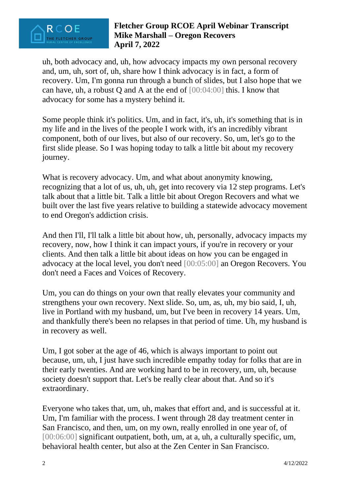

uh, both advocacy and, uh, how advocacy impacts my own personal recovery and, um, uh, sort of, uh, share how I think advocacy is in fact, a form of recovery. Um, I'm gonna run through a bunch of slides, but I also hope that we can have, uh, a robust Q and A at the end of [00:04:00] this. I know that advocacy for some has a mystery behind it.

Some people think it's politics. Um, and in fact, it's, uh, it's something that is in my life and in the lives of the people I work with, it's an incredibly vibrant component, both of our lives, but also of our recovery. So, um, let's go to the first slide please. So I was hoping today to talk a little bit about my recovery journey.

What is recovery advocacy. Um, and what about anonymity knowing, recognizing that a lot of us, uh, uh, get into recovery via 12 step programs. Let's talk about that a little bit. Talk a little bit about Oregon Recovers and what we built over the last five years relative to building a statewide advocacy movement to end Oregon's addiction crisis.

And then I'll, I'll talk a little bit about how, uh, personally, advocacy impacts my recovery, now, how I think it can impact yours, if you're in recovery or your clients. And then talk a little bit about ideas on how you can be engaged in advocacy at the local level, you don't need [00:05:00] an Oregon Recovers. You don't need a Faces and Voices of Recovery.

Um, you can do things on your own that really elevates your community and strengthens your own recovery. Next slide. So, um, as, uh, my bio said, I, uh, live in Portland with my husband, um, but I've been in recovery 14 years. Um, and thankfully there's been no relapses in that period of time. Uh, my husband is in recovery as well.

Um, I got sober at the age of 46, which is always important to point out because, um, uh, I just have such incredible empathy today for folks that are in their early twenties. And are working hard to be in recovery, um, uh, because society doesn't support that. Let's be really clear about that. And so it's extraordinary.

Everyone who takes that, um, uh, makes that effort and, and is successful at it. Um, I'm familiar with the process. I went through 28 day treatment center in San Francisco, and then, um, on my own, really enrolled in one year of, of [00:06:00] significant outpatient, both, um, at a, uh, a culturally specific, um, behavioral health center, but also at the Zen Center in San Francisco.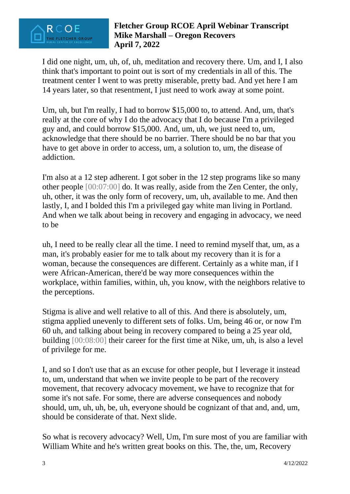

I did one night, um, uh, of, uh, meditation and recovery there. Um, and I, I also think that's important to point out is sort of my credentials in all of this. The treatment center I went to was pretty miserable, pretty bad. And yet here I am 14 years later, so that resentment, I just need to work away at some point.

Um, uh, but I'm really, I had to borrow \$15,000 to, to attend. And, um, that's really at the core of why I do the advocacy that I do because I'm a privileged guy and, and could borrow \$15,000. And, um, uh, we just need to, um, acknowledge that there should be no barrier. There should be no bar that you have to get above in order to access, um, a solution to, um, the disease of addiction.

I'm also at a 12 step adherent. I got sober in the 12 step programs like so many other people [00:07:00] do. It was really, aside from the Zen Center, the only, uh, other, it was the only form of recovery, um, uh, available to me. And then lastly, I, and I bolded this I'm a privileged gay white man living in Portland. And when we talk about being in recovery and engaging in advocacy, we need to be

uh, I need to be really clear all the time. I need to remind myself that, um, as a man, it's probably easier for me to talk about my recovery than it is for a woman, because the consequences are different. Certainly as a white man, if I were African-American, there'd be way more consequences within the workplace, within families, within, uh, you know, with the neighbors relative to the perceptions.

Stigma is alive and well relative to all of this. And there is absolutely, um, stigma applied unevenly to different sets of folks. Um, being 46 or, or now I'm 60 uh, and talking about being in recovery compared to being a 25 year old, building [00:08:00] their career for the first time at Nike, um, uh, is also a level of privilege for me.

I, and so I don't use that as an excuse for other people, but I leverage it instead to, um, understand that when we invite people to be part of the recovery movement, that recovery advocacy movement, we have to recognize that for some it's not safe. For some, there are adverse consequences and nobody should, um, uh, uh, be, uh, everyone should be cognizant of that and, and, um, should be considerate of that. Next slide.

So what is recovery advocacy? Well, Um, I'm sure most of you are familiar with William White and he's written great books on this. The, the, um, Recovery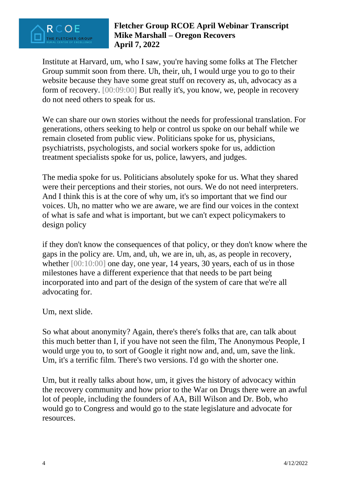

Institute at Harvard, um, who I saw, you're having some folks at The Fletcher Group summit soon from there. Uh, their, uh, I would urge you to go to their website because they have some great stuff on recovery as, uh, advocacy as a form of recovery. [00:09:00] But really it's, you know, we, people in recovery do not need others to speak for us.

We can share our own stories without the needs for professional translation. For generations, others seeking to help or control us spoke on our behalf while we remain closeted from public view. Politicians spoke for us, physicians, psychiatrists, psychologists, and social workers spoke for us, addiction treatment specialists spoke for us, police, lawyers, and judges.

The media spoke for us. Politicians absolutely spoke for us. What they shared were their perceptions and their stories, not ours. We do not need interpreters. And I think this is at the core of why um, it's so important that we find our voices. Uh, no matter who we are aware, we are find our voices in the context of what is safe and what is important, but we can't expect policymakers to design policy

if they don't know the consequences of that policy, or they don't know where the gaps in the policy are. Um, and, uh, we are in, uh, as, as people in recovery, whether  $[00:10:00]$  one day, one year, 14 years, 30 years, each of us in those milestones have a different experience that that needs to be part being incorporated into and part of the design of the system of care that we're all advocating for.

Um, next slide.

So what about anonymity? Again, there's there's folks that are, can talk about this much better than I, if you have not seen the film, The Anonymous People, I would urge you to, to sort of Google it right now and, and, um, save the link. Um, it's a terrific film. There's two versions. I'd go with the shorter one.

Um, but it really talks about how, um, it gives the history of advocacy within the recovery community and how prior to the War on Drugs there were an awful lot of people, including the founders of AA, Bill Wilson and Dr. Bob, who would go to Congress and would go to the state legislature and advocate for resources.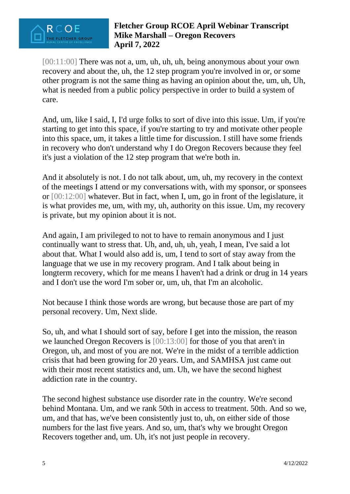

[00:11:00] There was not a, um, uh, uh, uh, being anonymous about your own recovery and about the, uh, the 12 step program you're involved in or, or some other program is not the same thing as having an opinion about the, um, uh, Uh, what is needed from a public policy perspective in order to build a system of care.

And, um, like I said, I, I'd urge folks to sort of dive into this issue. Um, if you're starting to get into this space, if you're starting to try and motivate other people into this space, um, it takes a little time for discussion. I still have some friends in recovery who don't understand why I do Oregon Recovers because they feel it's just a violation of the 12 step program that we're both in.

And it absolutely is not. I do not talk about, um, uh, my recovery in the context of the meetings I attend or my conversations with, with my sponsor, or sponsees or [00:12:00] whatever. But in fact, when I, um, go in front of the legislature, it is what provides me, um, with my, uh, authority on this issue. Um, my recovery is private, but my opinion about it is not.

And again, I am privileged to not to have to remain anonymous and I just continually want to stress that. Uh, and, uh, uh, yeah, I mean, I've said a lot about that. What I would also add is, um, I tend to sort of stay away from the language that we use in my recovery program. And I talk about being in longterm recovery, which for me means I haven't had a drink or drug in 14 years and I don't use the word I'm sober or, um, uh, that I'm an alcoholic.

Not because I think those words are wrong, but because those are part of my personal recovery. Um, Next slide.

So, uh, and what I should sort of say, before I get into the mission, the reason we launched Oregon Recovers is [00:13:00] for those of you that aren't in Oregon, uh, and most of you are not. We're in the midst of a terrible addiction crisis that had been growing for 20 years. Um, and SAMHSA just came out with their most recent statistics and, um. Uh, we have the second highest addiction rate in the country.

The second highest substance use disorder rate in the country. We're second behind Montana. Um, and we rank 50th in access to treatment. 50th. And so we, um, and that has, we've been consistently just to, uh, on either side of those numbers for the last five years. And so, um, that's why we brought Oregon Recovers together and, um. Uh, it's not just people in recovery.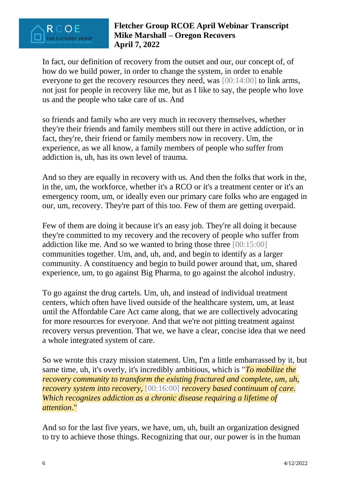

In fact, our definition of recovery from the outset and our, our concept of, of how do we build power, in order to change the system, in order to enable everyone to get the recovery resources they need, was [00:14:00] to link arms, not just for people in recovery like me, but as I like to say, the people who love us and the people who take care of us. And

so friends and family who are very much in recovery themselves, whether they're their friends and family members still out there in active addiction, or in fact, they're, their friend or family members now in recovery. Um, the experience, as we all know, a family members of people who suffer from addiction is, uh, has its own level of trauma.

And so they are equally in recovery with us. And then the folks that work in the, in the, um, the workforce, whether it's a RCO or it's a treatment center or it's an emergency room, um, or ideally even our primary care folks who are engaged in our, um, recovery. They're part of this too. Few of them are getting overpaid.

Few of them are doing it because it's an easy job. They're all doing it because they're committed to my recovery and the recovery of people who suffer from addiction like me. And so we wanted to bring those three [00:15:00] communities together. Um, and, uh, and, and begin to identify as a larger community. A constituency and begin to build power around that, um, shared experience, um, to go against Big Pharma, to go against the alcohol industry.

To go against the drug cartels. Um, uh, and instead of individual treatment centers, which often have lived outside of the healthcare system, um, at least until the Affordable Care Act came along, that we are collectively advocating for more resources for everyone. And that we're not pitting treatment against recovery versus prevention. That we, we have a clear, concise idea that we need a whole integrated system of care.

So we wrote this crazy mission statement. Um, I'm a little embarrassed by it, but same time, uh, it's overly, it's incredibly ambitious, which is "*To mobilize the recovery community to transform the existing fractured and complete, um, uh, recovery system into recovery,* [00:16:00] *recovery based continuum of care. Which recognizes addiction as a chronic disease requiring a lifetime of attention*."

And so for the last five years, we have, um, uh, built an organization designed to try to achieve those things. Recognizing that our, our power is in the human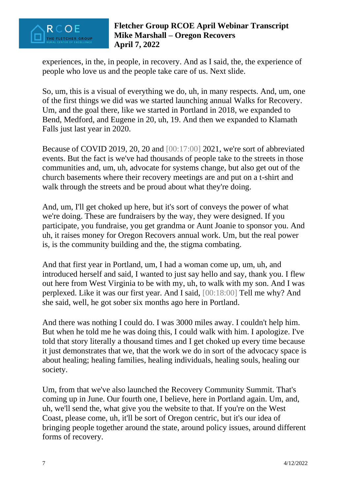

experiences, in the, in people, in recovery. And as I said, the, the experience of people who love us and the people take care of us. Next slide.

So, um, this is a visual of everything we do, uh, in many respects. And, um, one of the first things we did was we started launching annual Walks for Recovery. Um, and the goal there, like we started in Portland in 2018, we expanded to Bend, Medford, and Eugene in 20, uh, 19. And then we expanded to Klamath Falls just last year in 2020.

Because of COVID 2019, 20, 20 and [00:17:00] 2021, we're sort of abbreviated events. But the fact is we've had thousands of people take to the streets in those communities and, um, uh, advocate for systems change, but also get out of the church basements where their recovery meetings are and put on a t-shirt and walk through the streets and be proud about what they're doing.

And, um, I'll get choked up here, but it's sort of conveys the power of what we're doing. These are fundraisers by the way, they were designed. If you participate, you fundraise, you get grandma or Aunt Joanie to sponsor you. And uh, it raises money for Oregon Recovers annual work. Um, but the real power is, is the community building and the, the stigma combating.

And that first year in Portland, um, I had a woman come up, um, uh, and introduced herself and said, I wanted to just say hello and say, thank you. I flew out here from West Virginia to be with my, uh, to walk with my son. And I was perplexed. Like it was our first year. And I said, [00:18:00] Tell me why? And she said, well, he got sober six months ago here in Portland.

And there was nothing I could do. I was 3000 miles away. I couldn't help him. But when he told me he was doing this, I could walk with him. I apologize. I've told that story literally a thousand times and I get choked up every time because it just demonstrates that we, that the work we do in sort of the advocacy space is about healing; healing families, healing individuals, healing souls, healing our society.

Um, from that we've also launched the Recovery Community Summit. That's coming up in June. Our fourth one, I believe, here in Portland again. Um, and, uh, we'll send the, what give you the website to that. If you're on the West Coast, please come, uh, it'll be sort of Oregon centric, but it's our idea of bringing people together around the state, around policy issues, around different forms of recovery.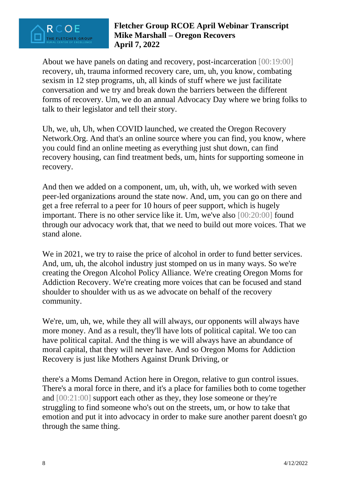

About we have panels on dating and recovery, post-incarceration [00:19:00] recovery, uh, trauma informed recovery care, um, uh, you know, combating sexism in 12 step programs, uh, all kinds of stuff where we just facilitate conversation and we try and break down the barriers between the different forms of recovery. Um, we do an annual Advocacy Day where we bring folks to talk to their legislator and tell their story.

Uh, we, uh, Uh, when COVID launched, we created the Oregon Recovery Network.Org. And that's an online source where you can find, you know, where you could find an online meeting as everything just shut down, can find recovery housing, can find treatment beds, um, hints for supporting someone in recovery.

And then we added on a component, um, uh, with, uh, we worked with seven peer-led organizations around the state now. And, um, you can go on there and get a free referral to a peer for 10 hours of peer support, which is hugely important. There is no other service like it. Um, we've also [00:20:00] found through our advocacy work that, that we need to build out more voices. That we stand alone.

We in 2021, we try to raise the price of alcohol in order to fund better services. And, um, uh, the alcohol industry just stomped on us in many ways. So we're creating the Oregon Alcohol Policy Alliance. We're creating Oregon Moms for Addiction Recovery. We're creating more voices that can be focused and stand shoulder to shoulder with us as we advocate on behalf of the recovery community.

We're, um, uh, we, while they all will always, our opponents will always have more money. And as a result, they'll have lots of political capital. We too can have political capital. And the thing is we will always have an abundance of moral capital, that they will never have. And so Oregon Moms for Addiction Recovery is just like Mothers Against Drunk Driving, or

there's a Moms Demand Action here in Oregon, relative to gun control issues. There's a moral force in there, and it's a place for families both to come together and [00:21:00] support each other as they, they lose someone or they're struggling to find someone who's out on the streets, um, or how to take that emotion and put it into advocacy in order to make sure another parent doesn't go through the same thing.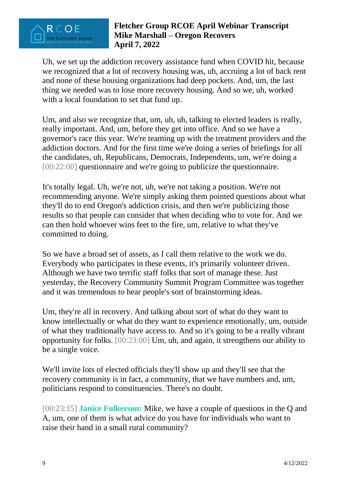

Uh, we set up the addiction recovery assistance fund when COVID hit, because we recognized that a lot of recovery housing was, uh, accruing a lot of back rent and none of these housing organizations had deep pockets. And, um, the last thing we needed was to lose more recovery housing. And so we, uh, worked with a local foundation to set that fund up.

Um, and also we recognize that, um, uh, uh, talking to elected leaders is really, really important. And, um, before they get into office. And so we have a governor's race this year. We're teaming up with the treatment providers and the addiction doctors. And for the first time we're doing a series of briefings for all the candidates, uh, Republicans, Democrats, Independents, um, we're doing a [00:22:00] questionnaire and we're going to publicize the questionnaire.

It's totally legal. Uh, we're not, uh, we're not taking a position. We're not recommending anyone. We're simply asking them pointed questions about what they'll do to end Oregon's addiction crisis, and then we're publicizing those results so that people can consider that when deciding who to vote for. And we can then hold whoever wins feet to the fire, um, relative to what they've committed to doing.

So we have a broad set of assets, as I call them relative to the work we do. Everybody who participates in these events, it's primarily volunteer driven. Although we have two terrific staff folks that sort of manage these. Just yesterday, the Recovery Community Summit Program Committee was together and it was tremendous to hear people's sort of brainstorming ideas.

Um, they're all in recovery. And talking about sort of what do they want to know intellectually or what do they want to experience emotionally, um, outside of what they traditionally have access to. And so it's going to be a really vibrant opportunity for folks. [00:23:00] Um, uh, and again, it strengthens our ability to be a single voice.

We'll invite lots of elected officials they'll show up and they'll see that the recovery community is in fact, a community, that we have numbers and, um, politicians respond to constituencies. There's no doubt.

[00:23:15] **Janice Fulkerson:** Mike, we have a couple of questions in the Q and A, um, one of them is what advice do you have for individuals who want to raise their hand in a small rural community?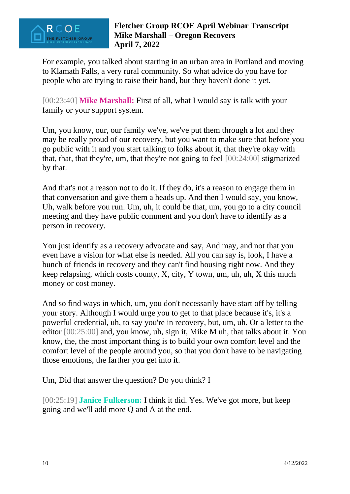

For example, you talked about starting in an urban area in Portland and moving to Klamath Falls, a very rural community. So what advice do you have for people who are trying to raise their hand, but they haven't done it yet.

[00:23:40] **Mike Marshall:** First of all, what I would say is talk with your family or your support system.

Um, you know, our, our family we've, we've put them through a lot and they may be really proud of our recovery, but you want to make sure that before you go public with it and you start talking to folks about it, that they're okay with that, that, that they're, um, that they're not going to feel [00:24:00] stigmatized by that.

And that's not a reason not to do it. If they do, it's a reason to engage them in that conversation and give them a heads up. And then I would say, you know, Uh, walk before you run. Um, uh, it could be that, um, you go to a city council meeting and they have public comment and you don't have to identify as a person in recovery.

You just identify as a recovery advocate and say, And may, and not that you even have a vision for what else is needed. All you can say is, look, I have a bunch of friends in recovery and they can't find housing right now. And they keep relapsing, which costs county, X, city, Y town, um, uh, uh, X this much money or cost money.

And so find ways in which, um, you don't necessarily have start off by telling your story. Although I would urge you to get to that place because it's, it's a powerful credential, uh, to say you're in recovery, but, um, uh. Or a letter to the editor [00:25:00] and, you know, uh, sign it, Mike M uh, that talks about it. You know, the, the most important thing is to build your own comfort level and the comfort level of the people around you, so that you don't have to be navigating those emotions, the farther you get into it.

Um, Did that answer the question? Do you think? I

[00:25:19] **Janice Fulkerson:** I think it did. Yes. We've got more, but keep going and we'll add more Q and A at the end.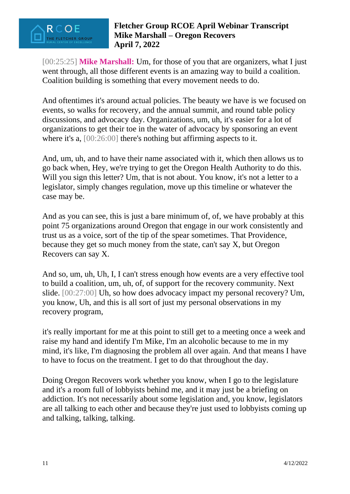

[00:25:25] **Mike Marshall:** Um, for those of you that are organizers, what I just went through, all those different events is an amazing way to build a coalition. Coalition building is something that every movement needs to do.

And oftentimes it's around actual policies. The beauty we have is we focused on events, so walks for recovery, and the annual summit, and round table policy discussions, and advocacy day. Organizations, um, uh, it's easier for a lot of organizations to get their toe in the water of advocacy by sponsoring an event where it's a, [00:26:00] there's nothing but affirming aspects to it.

And, um, uh, and to have their name associated with it, which then allows us to go back when, Hey, we're trying to get the Oregon Health Authority to do this. Will you sign this letter? Um, that is not about. You know, it's not a letter to a legislator, simply changes regulation, move up this timeline or whatever the case may be.

And as you can see, this is just a bare minimum of, of, we have probably at this point 75 organizations around Oregon that engage in our work consistently and trust us as a voice, sort of the tip of the spear sometimes. That Providence, because they get so much money from the state, can't say X, but Oregon Recovers can say X.

And so, um, uh, Uh, I, I can't stress enough how events are a very effective tool to build a coalition, um, uh, of, of support for the recovery community. Next slide. [00:27:00] Uh, so how does advocacy impact my personal recovery? Um, you know, Uh, and this is all sort of just my personal observations in my recovery program,

it's really important for me at this point to still get to a meeting once a week and raise my hand and identify I'm Mike, I'm an alcoholic because to me in my mind, it's like, I'm diagnosing the problem all over again. And that means I have to have to focus on the treatment. I get to do that throughout the day.

Doing Oregon Recovers work whether you know, when I go to the legislature and it's a room full of lobbyists behind me, and it may just be a briefing on addiction. It's not necessarily about some legislation and, you know, legislators are all talking to each other and because they're just used to lobbyists coming up and talking, talking, talking.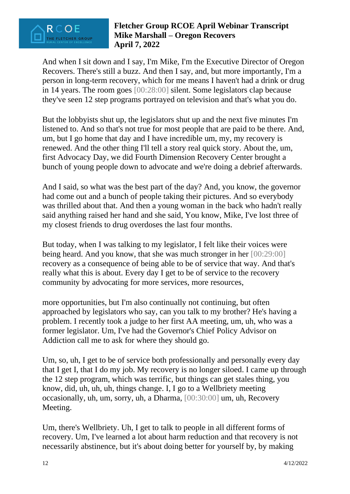

And when I sit down and I say, I'm Mike, I'm the Executive Director of Oregon Recovers. There's still a buzz. And then I say, and, but more importantly, I'm a person in long-term recovery, which for me means I haven't had a drink or drug in 14 years. The room goes [00:28:00] silent. Some legislators clap because they've seen 12 step programs portrayed on television and that's what you do.

But the lobbyists shut up, the legislators shut up and the next five minutes I'm listened to. And so that's not true for most people that are paid to be there. And, um, but I go home that day and I have incredible um, my, my recovery is renewed. And the other thing I'll tell a story real quick story. About the, um, first Advocacy Day, we did Fourth Dimension Recovery Center brought a bunch of young people down to advocate and we're doing a debrief afterwards.

And I said, so what was the best part of the day? And, you know, the governor had come out and a bunch of people taking their pictures. And so everybody was thrilled about that. And then a young woman in the back who hadn't really said anything raised her hand and she said, You know, Mike, I've lost three of my closest friends to drug overdoses the last four months.

But today, when I was talking to my legislator, I felt like their voices were being heard. And you know, that she was much stronger in her [00:29:00] recovery as a consequence of being able to be of service that way. And that's really what this is about. Every day I get to be of service to the recovery community by advocating for more services, more resources,

more opportunities, but I'm also continually not continuing, but often approached by legislators who say, can you talk to my brother? He's having a problem. I recently took a judge to her first AA meeting, um, uh, who was a former legislator. Um, I've had the Governor's Chief Policy Advisor on Addiction call me to ask for where they should go.

Um, so, uh, I get to be of service both professionally and personally every day that I get I, that I do my job. My recovery is no longer siloed. I came up through the 12 step program, which was terrific, but things can get stales thing, you know, did, uh, uh, uh, things change. I, I go to a Wellbriety meeting occasionally, uh, um, sorry, uh, a Dharma, [00:30:00] um, uh, Recovery Meeting.

Um, there's Wellbriety. Uh, I get to talk to people in all different forms of recovery. Um, I've learned a lot about harm reduction and that recovery is not necessarily abstinence, but it's about doing better for yourself by, by making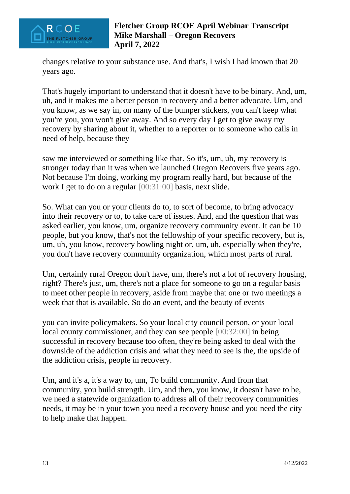

changes relative to your substance use. And that's, I wish I had known that 20 years ago.

That's hugely important to understand that it doesn't have to be binary. And, um, uh, and it makes me a better person in recovery and a better advocate. Um, and you know, as we say in, on many of the bumper stickers, you can't keep what you're you, you won't give away. And so every day I get to give away my recovery by sharing about it, whether to a reporter or to someone who calls in need of help, because they

saw me interviewed or something like that. So it's, um, uh, my recovery is stronger today than it was when we launched Oregon Recovers five years ago. Not because I'm doing, working my program really hard, but because of the work I get to do on a regular [00:31:00] basis, next slide.

So. What can you or your clients do to, to sort of become, to bring advocacy into their recovery or to, to take care of issues. And, and the question that was asked earlier, you know, um, organize recovery community event. It can be 10 people, but you know, that's not the fellowship of your specific recovery, but is, um, uh, you know, recovery bowling night or, um, uh, especially when they're, you don't have recovery community organization, which most parts of rural.

Um, certainly rural Oregon don't have, um, there's not a lot of recovery housing, right? There's just, um, there's not a place for someone to go on a regular basis to meet other people in recovery, aside from maybe that one or two meetings a week that that is available. So do an event, and the beauty of events

you can invite policymakers. So your local city council person, or your local local county commissioner, and they can see people [00:32:00] in being successful in recovery because too often, they're being asked to deal with the downside of the addiction crisis and what they need to see is the, the upside of the addiction crisis, people in recovery.

Um, and it's a, it's a way to, um, To build community. And from that community, you build strength. Um, and then, you know, it doesn't have to be, we need a statewide organization to address all of their recovery communities needs, it may be in your town you need a recovery house and you need the city to help make that happen.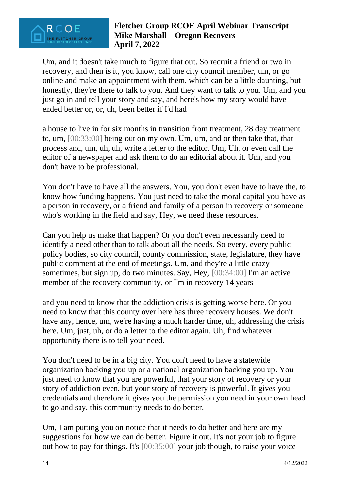

Um, and it doesn't take much to figure that out. So recruit a friend or two in recovery, and then is it, you know, call one city council member, um, or go online and make an appointment with them, which can be a little daunting, but honestly, they're there to talk to you. And they want to talk to you. Um, and you just go in and tell your story and say, and here's how my story would have ended better or, or, uh, been better if I'd had

a house to live in for six months in transition from treatment, 28 day treatment to, um, [00:33:00] being out on my own. Um, um, and or then take that, that process and, um, uh, uh, write a letter to the editor. Um, Uh, or even call the editor of a newspaper and ask them to do an editorial about it. Um, and you don't have to be professional.

You don't have to have all the answers. You, you don't even have to have the, to know how funding happens. You just need to take the moral capital you have as a person in recovery, or a friend and family of a person in recovery or someone who's working in the field and say, Hey, we need these resources.

Can you help us make that happen? Or you don't even necessarily need to identify a need other than to talk about all the needs. So every, every public policy bodies, so city council, county commission, state, legislature, they have public comment at the end of meetings. Um, and they're a little crazy sometimes, but sign up, do two minutes. Say, Hey, [00:34:00] I'm an active member of the recovery community, or I'm in recovery 14 years

and you need to know that the addiction crisis is getting worse here. Or you need to know that this county over here has three recovery houses. We don't have any, hence, um, we're having a much harder time, uh, addressing the crisis here. Um, just, uh, or do a letter to the editor again. Uh, find whatever opportunity there is to tell your need.

You don't need to be in a big city. You don't need to have a statewide organization backing you up or a national organization backing you up. You just need to know that you are powerful, that your story of recovery or your story of addiction even, but your story of recovery is powerful. It gives you credentials and therefore it gives you the permission you need in your own head to go and say, this community needs to do better.

Um, I am putting you on notice that it needs to do better and here are my suggestions for how we can do better. Figure it out. It's not your job to figure out how to pay for things. It's [00:35:00] your job though, to raise your voice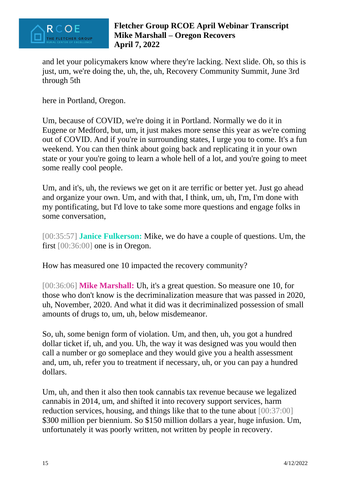

and let your policymakers know where they're lacking. Next slide. Oh, so this is just, um, we're doing the, uh, the, uh, Recovery Community Summit, June 3rd through 5th

here in Portland, Oregon.

Um, because of COVID, we're doing it in Portland. Normally we do it in Eugene or Medford, but, um, it just makes more sense this year as we're coming out of COVID. And if you're in surrounding states, I urge you to come. It's a fun weekend. You can then think about going back and replicating it in your own state or your you're going to learn a whole hell of a lot, and you're going to meet some really cool people.

Um, and it's, uh, the reviews we get on it are terrific or better yet. Just go ahead and organize your own. Um, and with that, I think, um, uh, I'm, I'm done with my pontificating, but I'd love to take some more questions and engage folks in some conversation,

[00:35:57] **Janice Fulkerson:** Mike, we do have a couple of questions. Um, the first [00:36:00] one is in Oregon.

How has measured one 10 impacted the recovery community?

[00:36:06] **Mike Marshall:** Uh, it's a great question. So measure one 10, for those who don't know is the decriminalization measure that was passed in 2020, uh, November, 2020. And what it did was it decriminalized possession of small amounts of drugs to, um, uh, below misdemeanor.

So, uh, some benign form of violation. Um, and then, uh, you got a hundred dollar ticket if, uh, and you. Uh, the way it was designed was you would then call a number or go someplace and they would give you a health assessment and, um, uh, refer you to treatment if necessary, uh, or you can pay a hundred dollars.

Um, uh, and then it also then took cannabis tax revenue because we legalized cannabis in 2014, um, and shifted it into recovery support services, harm reduction services, housing, and things like that to the tune about [00:37:00] \$300 million per biennium. So \$150 million dollars a year, huge infusion. Um, unfortunately it was poorly written, not written by people in recovery.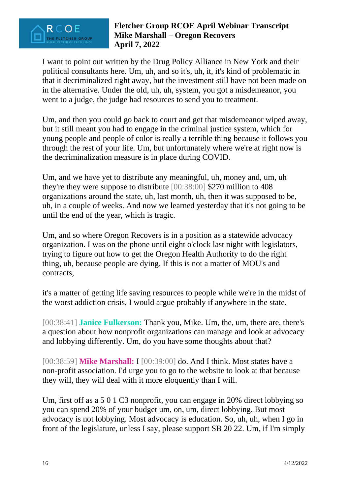

I want to point out written by the Drug Policy Alliance in New York and their political consultants here. Um, uh, and so it's, uh, it, it's kind of problematic in that it decriminalized right away, but the investment still have not been made on in the alternative. Under the old, uh, uh, system, you got a misdemeanor, you went to a judge, the judge had resources to send you to treatment.

Um, and then you could go back to court and get that misdemeanor wiped away, but it still meant you had to engage in the criminal justice system, which for young people and people of color is really a terrible thing because it follows you through the rest of your life. Um, but unfortunately where we're at right now is the decriminalization measure is in place during COVID.

Um, and we have yet to distribute any meaningful, uh, money and, um, uh they're they were suppose to distribute [00:38:00] \$270 million to 408 organizations around the state, uh, last month, uh, then it was supposed to be, uh, in a couple of weeks. And now we learned yesterday that it's not going to be until the end of the year, which is tragic.

Um, and so where Oregon Recovers is in a position as a statewide advocacy organization. I was on the phone until eight o'clock last night with legislators, trying to figure out how to get the Oregon Health Authority to do the right thing, uh, because people are dying. If this is not a matter of MOU's and contracts,

it's a matter of getting life saving resources to people while we're in the midst of the worst addiction crisis, I would argue probably if anywhere in the state.

[00:38:41] **Janice Fulkerson:** Thank you, Mike. Um, the, um, there are, there's a question about how nonprofit organizations can manage and look at advocacy and lobbying differently. Um, do you have some thoughts about that?

[00:38:59] **Mike Marshall:** I [00:39:00] do. And I think. Most states have a non-profit association. I'd urge you to go to the website to look at that because they will, they will deal with it more eloquently than I will.

Um, first off as a 5 0 1 C3 nonprofit, you can engage in 20% direct lobbying so you can spend 20% of your budget um, on, um, direct lobbying. But most advocacy is not lobbying. Most advocacy is education. So, uh, uh, when I go in front of the legislature, unless I say, please support SB 20 22. Um, if I'm simply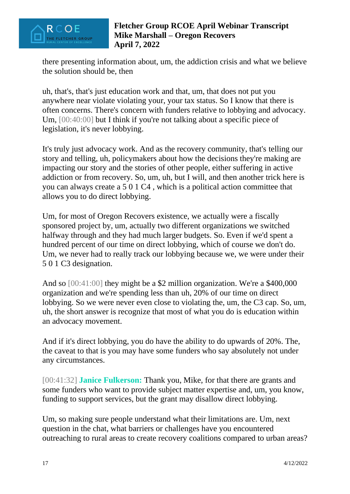

there presenting information about, um, the addiction crisis and what we believe the solution should be, then

uh, that's, that's just education work and that, um, that does not put you anywhere near violate violating your, your tax status. So I know that there is often concerns. There's concern with funders relative to lobbying and advocacy. Um,  $[00:40:00]$  but I think if you're not talking about a specific piece of legislation, it's never lobbying.

It's truly just advocacy work. And as the recovery community, that's telling our story and telling, uh, policymakers about how the decisions they're making are impacting our story and the stories of other people, either suffering in active addiction or from recovery. So, um, uh, but I will, and then another trick here is you can always create a 5 0 1 C4 , which is a political action committee that allows you to do direct lobbying.

Um, for most of Oregon Recovers existence, we actually were a fiscally sponsored project by, um, actually two different organizations we switched halfway through and they had much larger budgets. So. Even if we'd spent a hundred percent of our time on direct lobbying, which of course we don't do. Um, we never had to really track our lobbying because we, we were under their 5 0 1 C3 designation.

And so [00:41:00] they might be a \$2 million organization. We're a \$400,000 organization and we're spending less than uh, 20% of our time on direct lobbying. So we were never even close to violating the, um, the C3 cap. So, um, uh, the short answer is recognize that most of what you do is education within an advocacy movement.

And if it's direct lobbying, you do have the ability to do upwards of 20%. The, the caveat to that is you may have some funders who say absolutely not under any circumstances.

[00:41:32] **Janice Fulkerson:** Thank you, Mike, for that there are grants and some funders who want to provide subject matter expertise and, um, you know, funding to support services, but the grant may disallow direct lobbying.

Um, so making sure people understand what their limitations are. Um, next question in the chat, what barriers or challenges have you encountered outreaching to rural areas to create recovery coalitions compared to urban areas?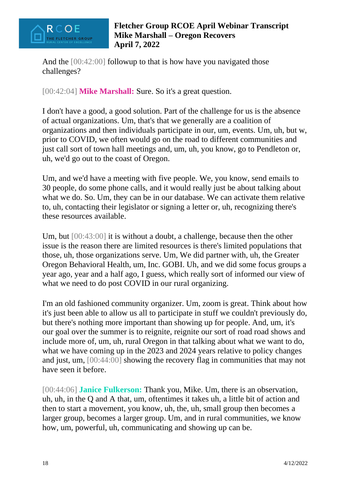

And the  $[00:42:00]$  followup to that is how have you navigated those challenges?

[00:42:04] **Mike Marshall:** Sure. So it's a great question.

I don't have a good, a good solution. Part of the challenge for us is the absence of actual organizations. Um, that's that we generally are a coalition of organizations and then individuals participate in our, um, events. Um, uh, but w, prior to COVID, we often would go on the road to different communities and just call sort of town hall meetings and, um, uh, you know, go to Pendleton or, uh, we'd go out to the coast of Oregon.

Um, and we'd have a meeting with five people. We, you know, send emails to 30 people, do some phone calls, and it would really just be about talking about what we do. So. Um, they can be in our database. We can activate them relative to, uh, contacting their legislator or signing a letter or, uh, recognizing there's these resources available.

Um, but [00:43:00] it is without a doubt, a challenge, because then the other issue is the reason there are limited resources is there's limited populations that those, uh, those organizations serve. Um, We did partner with, uh, the Greater Oregon Behavioral Health, um, Inc. GOBI. Uh, and we did some focus groups a year ago, year and a half ago, I guess, which really sort of informed our view of what we need to do post COVID in our rural organizing.

I'm an old fashioned community organizer. Um, zoom is great. Think about how it's just been able to allow us all to participate in stuff we couldn't previously do, but there's nothing more important than showing up for people. And, um, it's our goal over the summer is to reignite, reignite our sort of road road shows and include more of, um, uh, rural Oregon in that talking about what we want to do, what we have coming up in the 2023 and 2024 years relative to policy changes and just, um, [00:44:00] showing the recovery flag in communities that may not have seen it before.

[00:44:06] **Janice Fulkerson:** Thank you, Mike. Um, there is an observation, uh, uh, in the Q and A that, um, oftentimes it takes uh, a little bit of action and then to start a movement, you know, uh, the, uh, small group then becomes a larger group, becomes a larger group. Um, and in rural communities, we know how, um, powerful, uh, communicating and showing up can be.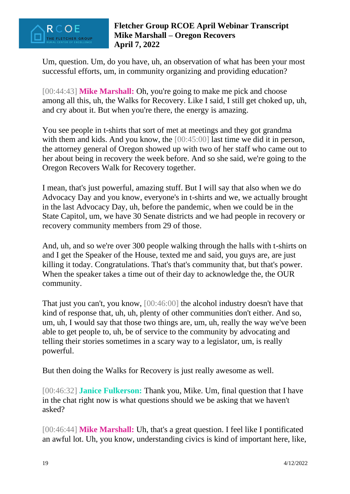

Um, question. Um, do you have, uh, an observation of what has been your most successful efforts, um, in community organizing and providing education?

[00:44:43] **Mike Marshall:** Oh, you're going to make me pick and choose among all this, uh, the Walks for Recovery. Like I said, I still get choked up, uh, and cry about it. But when you're there, the energy is amazing.

You see people in t-shirts that sort of met at meetings and they got grandma with them and kids. And you know, the [00:45:00] last time we did it in person, the attorney general of Oregon showed up with two of her staff who came out to her about being in recovery the week before. And so she said, we're going to the Oregon Recovers Walk for Recovery together.

I mean, that's just powerful, amazing stuff. But I will say that also when we do Advocacy Day and you know, everyone's in t-shirts and we, we actually brought in the last Advocacy Day, uh, before the pandemic, when we could be in the State Capitol, um, we have 30 Senate districts and we had people in recovery or recovery community members from 29 of those.

And, uh, and so we're over 300 people walking through the halls with t-shirts on and I get the Speaker of the House, texted me and said, you guys are, are just killing it today. Congratulations. That's that's community that, but that's power. When the speaker takes a time out of their day to acknowledge the, the OUR community.

That just you can't, you know, [00:46:00] the alcohol industry doesn't have that kind of response that, uh, uh, plenty of other communities don't either. And so, um, uh, I would say that those two things are, um, uh, really the way we've been able to get people to, uh, be of service to the community by advocating and telling their stories sometimes in a scary way to a legislator, um, is really powerful.

But then doing the Walks for Recovery is just really awesome as well.

[00:46:32] **Janice Fulkerson:** Thank you, Mike. Um, final question that I have in the chat right now is what questions should we be asking that we haven't asked?

[00:46:44] **Mike Marshall:** Uh, that's a great question. I feel like I pontificated an awful lot. Uh, you know, understanding civics is kind of important here, like,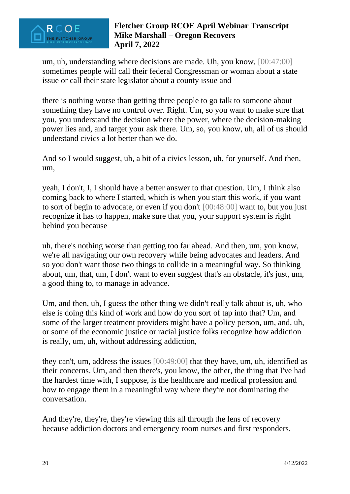

um, uh, understanding where decisions are made. Uh, you know, [00:47:00] sometimes people will call their federal Congressman or woman about a state issue or call their state legislator about a county issue and

there is nothing worse than getting three people to go talk to someone about something they have no control over. Right. Um, so you want to make sure that you, you understand the decision where the power, where the decision-making power lies and, and target your ask there. Um, so, you know, uh, all of us should understand civics a lot better than we do.

And so I would suggest, uh, a bit of a civics lesson, uh, for yourself. And then, um,

yeah, I don't, I, I should have a better answer to that question. Um, I think also coming back to where I started, which is when you start this work, if you want to sort of begin to advocate, or even if you don't [00:48:00] want to, but you just recognize it has to happen, make sure that you, your support system is right behind you because

uh, there's nothing worse than getting too far ahead. And then, um, you know, we're all navigating our own recovery while being advocates and leaders. And so you don't want those two things to collide in a meaningful way. So thinking about, um, that, um, I don't want to even suggest that's an obstacle, it's just, um, a good thing to, to manage in advance.

Um, and then, uh, I guess the other thing we didn't really talk about is, uh, who else is doing this kind of work and how do you sort of tap into that? Um, and some of the larger treatment providers might have a policy person, um, and, uh, or some of the economic justice or racial justice folks recognize how addiction is really, um, uh, without addressing addiction,

they can't, um, address the issues [00:49:00] that they have, um, uh, identified as their concerns. Um, and then there's, you know, the other, the thing that I've had the hardest time with, I suppose, is the healthcare and medical profession and how to engage them in a meaningful way where they're not dominating the conversation.

And they're, they're, they're viewing this all through the lens of recovery because addiction doctors and emergency room nurses and first responders.